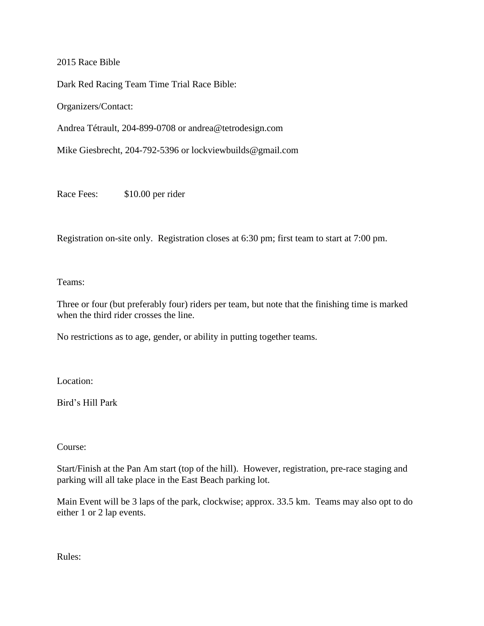2015 Race Bible

Dark Red Racing Team Time Trial Race Bible:

Organizers/Contact:

Andrea Tétrault, 204-899-0708 or andrea@tetrodesign.com

Mike Giesbrecht, 204-792-5396 or lockviewbuilds@gmail.com

Race Fees: \$10.00 per rider

Registration on-site only. Registration closes at 6:30 pm; first team to start at 7:00 pm.

Teams:

Three or four (but preferably four) riders per team, but note that the finishing time is marked when the third rider crosses the line.

No restrictions as to age, gender, or ability in putting together teams.

Location:

Bird's Hill Park

Course:

Start/Finish at the Pan Am start (top of the hill). However, registration, pre-race staging and parking will all take place in the East Beach parking lot.

Main Event will be 3 laps of the park, clockwise; approx. 33.5 km. Teams may also opt to do either 1 or 2 lap events.

Rules: